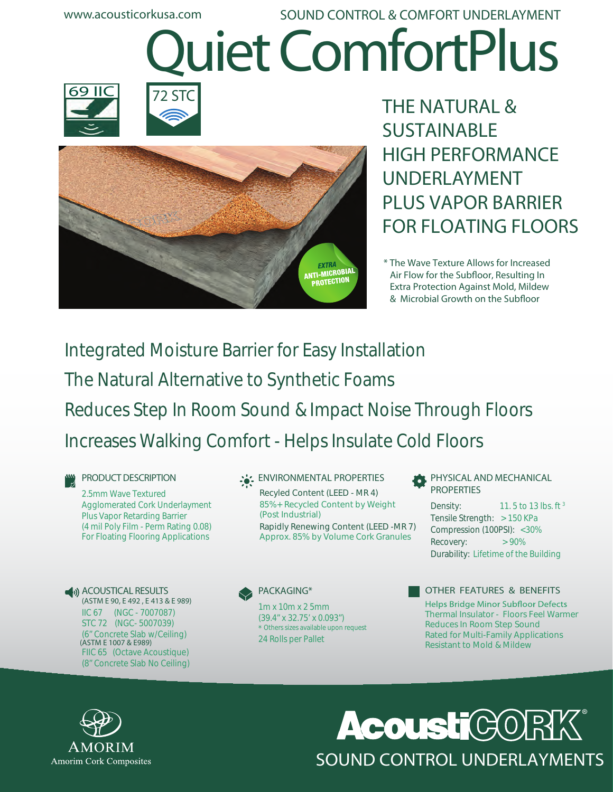**www.acousticorkusa.com Quiet ComfortPlus SOUND CONTROL & COMFORT UNDERLAYMENT**







**THE NATURAL & SUSTAINABLE HIGH PERFORMANCE UNDERLAYMENT PLUS VAPOR BARRIER FOR FLOATING FLOORS**

**\* The Wave Texture Allows for Increased Air Flow for the Subfloor, Resulting In Extra Protection Against Mold, Mildew**  $& Microbial Growth on the Subfloor$ 

Integrated Moisture Barrier for Easy Installation The Natural Alternative to Synthetic Foams Reduces Step In Room Sound & Impact Noise Through Floors Increases Walking Comfort - Helps Insulate Cold Floors

**PRODUCT DESCRIPTION**

2.5mm Wave Textured Agglomerated Cork Underlayment Plus Vapor Retarding Barrier (4 mil Poly Film - Perm Rating 0.08) For Floating Flooring Applications

**ACOUSTICAL RESULTS (ASTM E 90, E 492 , E 413 & E 989)** IIC 67 (NGC - 7007087) STC 72 (NGC- 5007039) (6" Concrete Slab w/Ceiling) FIIC 65 (Octave Acoustique) (8" Concrete Slab No Ceiling) **(ASTM E 1007 & E989)** 24 Rolls per Pallet

#### **ENVIRONMENTAL PROPERTIES**

Recyled Content (LEED - MR 4) 85%+ Recycled Content by Weight (Post Industrial) Rapidly Renewing Content (LEED -MR 7) Approx. 85% by Volume Cork Granules

**PACKAGING\***

1m x 10m x 2 5mm (39.4" x 32.75' x 0.093") \* Others sizes available upon request

**PHYSICAL AND MECHANICAL PROPERTIES** 

11. 5 to 13 lbs. ft <sup>3</sup> Tensile Strength: > 150 KPa Compression (100PSI): <30%  $\text{Recovery:}$  > 90% Durability: Lifetime of the Building Density:

**OTHER FEATURES & BENEFITS**

**Helps Bridge Minor Subfloor Defects** Thermal Insulator - Floors Feel Warmer Reduces In Room Step Sound Rated for Multi-Family Applications Resistant to Mold & Mildew



## **Acoust C** SOUND CONTROL UNDERLAYMENTS